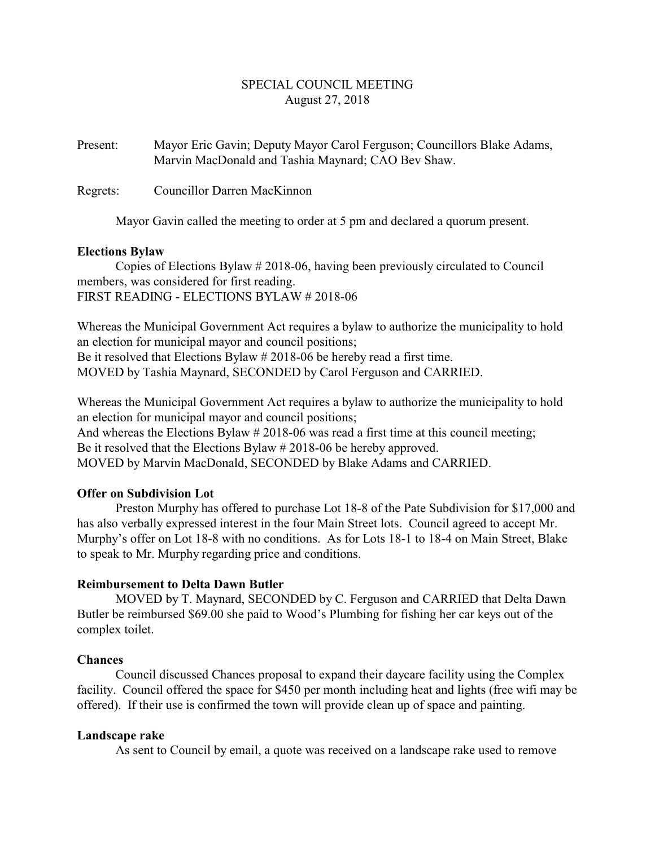# SPECIAL COUNCIL MEETING August 27, 2018

Present: Mayor Eric Gavin; Deputy Mayor Carol Ferguson; Councillors Blake Adams, Marvin MacDonald and Tashia Maynard; CAO Bev Shaw.

Regrets: Councillor Darren MacKinnon

Mayor Gavin called the meeting to order at 5 pm and declared a quorum present.

#### **Elections Bylaw**

Copies of Elections Bylaw # 2018-06, having been previously circulated to Council members, was considered for first reading. FIRST READING - ELECTIONS BYLAW # 2018-06

Whereas the Municipal Government Act requires a bylaw to authorize the municipality to hold an election for municipal mayor and council positions; Be it resolved that Elections Bylaw # 2018-06 be hereby read a first time. MOVED by Tashia Maynard, SECONDED by Carol Ferguson and CARRIED.

Whereas the Municipal Government Act requires a bylaw to authorize the municipality to hold an election for municipal mayor and council positions; And whereas the Elections Bylaw # 2018-06 was read a first time at this council meeting; Be it resolved that the Elections Bylaw # 2018-06 be hereby approved. MOVED by Marvin MacDonald, SECONDED by Blake Adams and CARRIED.

### **Offer on Subdivision Lot**

Preston Murphy has offered to purchase Lot 18-8 of the Pate Subdivision for \$17,000 and has also verbally expressed interest in the four Main Street lots. Council agreed to accept Mr. Murphy's offer on Lot 18-8 with no conditions. As for Lots 18-1 to 18-4 on Main Street, Blake to speak to Mr. Murphy regarding price and conditions.

### **Reimbursement to Delta Dawn Butler**

MOVED by T. Maynard, SECONDED by C. Ferguson and CARRIED that Delta Dawn Butler be reimbursed \$69.00 she paid to Wood's Plumbing for fishing her car keys out of the complex toilet.

### **Chances**

Council discussed Chances proposal to expand their daycare facility using the Complex facility. Council offered the space for \$450 per month including heat and lights (free wifi may be offered). If their use is confirmed the town will provide clean up of space and painting.

### **Landscape rake**

As sent to Council by email, a quote was received on a landscape rake used to remove